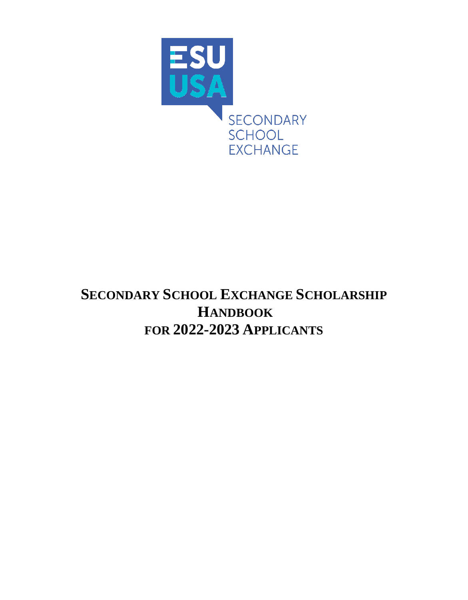

# **SECONDARY SCHOOL EXCHANGE SCHOLARSHIP HANDBOOK FOR 2022-2023 APPLICANTS**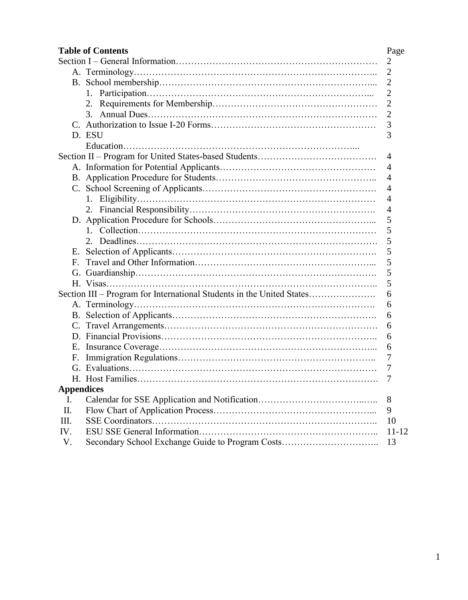| <b>Table of Contents</b><br>Page                                           |                                                  |                |  |
|----------------------------------------------------------------------------|--------------------------------------------------|----------------|--|
|                                                                            |                                                  | $\overline{2}$ |  |
|                                                                            |                                                  | $\overline{2}$ |  |
|                                                                            |                                                  | $\overline{2}$ |  |
|                                                                            |                                                  | $\overline{2}$ |  |
|                                                                            |                                                  | $\overline{c}$ |  |
|                                                                            |                                                  | $\overline{c}$ |  |
|                                                                            |                                                  | 3              |  |
|                                                                            | D. ESU                                           | 3              |  |
|                                                                            |                                                  |                |  |
|                                                                            |                                                  | 4              |  |
|                                                                            |                                                  | 4              |  |
|                                                                            |                                                  | 4              |  |
|                                                                            |                                                  | 4              |  |
|                                                                            |                                                  | $\overline{4}$ |  |
|                                                                            |                                                  | 4              |  |
|                                                                            |                                                  | 5              |  |
|                                                                            |                                                  | 5              |  |
|                                                                            |                                                  | 5              |  |
| Е.                                                                         |                                                  | 5              |  |
| F.                                                                         |                                                  | 5              |  |
|                                                                            |                                                  | 5              |  |
|                                                                            |                                                  | 5              |  |
| Section III – Program for International Students in the United States<br>6 |                                                  |                |  |
|                                                                            |                                                  | 6              |  |
|                                                                            |                                                  | 6              |  |
|                                                                            |                                                  | 6              |  |
|                                                                            |                                                  | 6              |  |
| Е.                                                                         |                                                  | 6              |  |
| F.                                                                         |                                                  | 7              |  |
|                                                                            |                                                  | 7              |  |
|                                                                            |                                                  | 7              |  |
| <b>Appendices</b>                                                          |                                                  |                |  |
| I.                                                                         |                                                  | 8              |  |
| Π.                                                                         |                                                  | 9              |  |
| Ш.                                                                         |                                                  | 10             |  |
| IV.                                                                        |                                                  | $11 - 12$      |  |
| V.                                                                         | Secondary School Exchange Guide to Program Costs | 13             |  |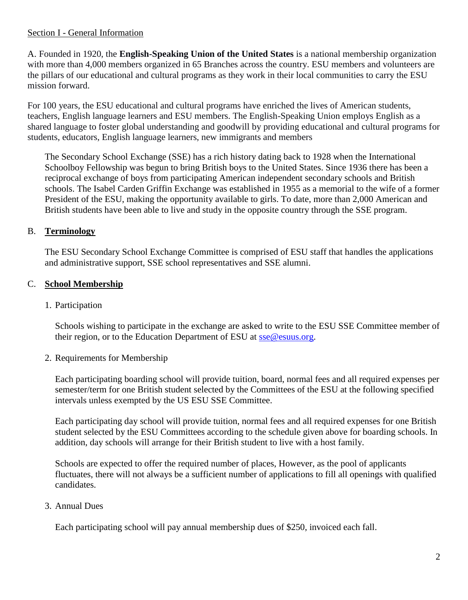#### Section I - General Information

A. Founded in 1920, the **English-Speaking Union of the United States** is a national membership organization with more than 4,000 members organized in 65 Branches across the country. ESU members and volunteers are the pillars of our educational and cultural programs as they work in their local communities to carry the ESU mission forward.

For 100 years, the ESU educational and cultural programs have enriched the lives of American students, teachers, English language learners and ESU members. The English-Speaking Union employs English as a shared language to foster global understanding and goodwill by providing educational and cultural programs for students, educators, English language learners, new immigrants and members

The Secondary School Exchange (SSE) has a rich history dating back to 1928 when the International Schoolboy Fellowship was begun to bring British boys to the United States. Since 1936 there has been a reciprocal exchange of boys from participating American independent secondary schools and British schools. The Isabel Carden Griffin Exchange was established in 1955 as a memorial to the wife of a former President of the ESU, making the opportunity available to girls. To date, more than 2,000 American and British students have been able to live and study in the opposite country through the SSE program.

# B. **Terminology**

The ESU Secondary School Exchange Committee is comprised of ESU staff that handles the applications and administrative support, SSE school representatives and SSE alumni.

# C. **School Membership**

## 1. Participation

Schools wishing to participate in the exchange are asked to write to the ESU SSE Committee member of their region, or to the Education Department of ESU at [sse@esuus.org.](../2018-2019/2018-2019%20Applications/Application%20Forms%20and%20Checklists/Final/sse@esuus.org)

# 2. Requirements for Membership

Each participating boarding school will provide tuition, board, normal fees and all required expenses per semester/term for one British student selected by the Committees of the ESU at the following specified intervals unless exempted by the US ESU SSE Committee.

Each participating day school will provide tuition, normal fees and all required expenses for one British student selected by the ESU Committees according to the schedule given above for boarding schools. In addition, day schools will arrange for their British student to live with a host family.

Schools are expected to offer the required number of places, However, as the pool of applicants fluctuates, there will not always be a sufficient number of applications to fill all openings with qualified candidates.

#### 3. Annual Dues

Each participating school will pay annual membership dues of \$250, invoiced each fall.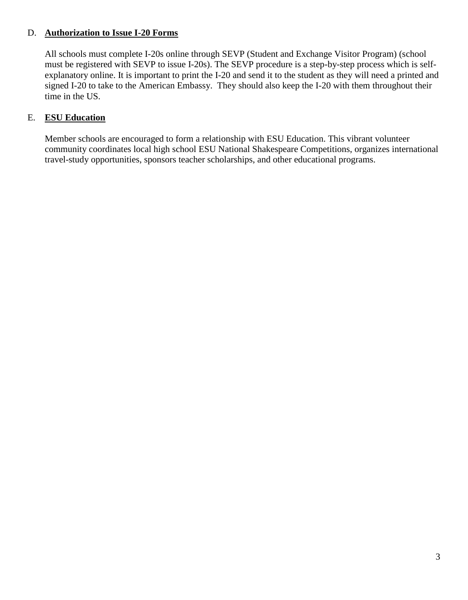#### D. **Authorization to Issue I-20 Forms**

All schools must complete I-20s online through SEVP (Student and Exchange Visitor Program) (school must be registered with SEVP to issue I-20s). The SEVP procedure is a step-by-step process which is selfexplanatory online. It is important to print the I-20 and send it to the student as they will need a printed and signed I-20 to take to the American Embassy. They should also keep the I-20 with them throughout their time in the US.

### E. **ESU Education**

Member schools are encouraged to form a relationship with ESU Education. This vibrant volunteer community coordinates local high school ESU National Shakespeare Competitions, organizes international travel-study opportunities, sponsors teacher scholarships, and other educational programs.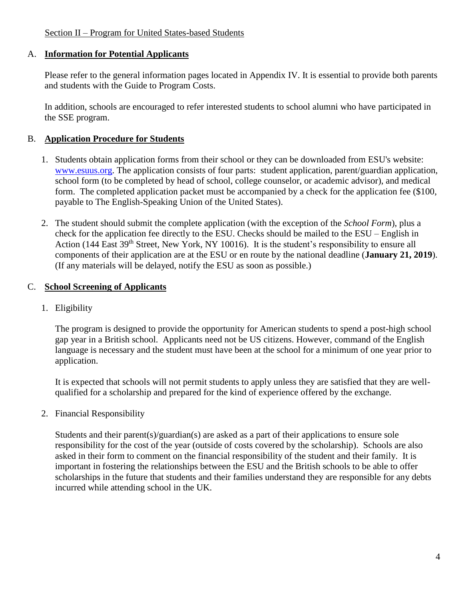#### A. **Information for Potential Applicants**

Please refer to the general information pages located in Appendix IV. It is essential to provide both parents and students with the Guide to Program Costs.

In addition, schools are encouraged to refer interested students to school alumni who have participated in the SSE program.

### B. **Application Procedure for Students**

- 1. Students obtain application forms from their school or they can be downloaded from ESU's website: [www.esuus.org.](../2018-2019/2018-2019%20Applications/Application%20Forms%20and%20Checklists/Final/www.esuus.org) The application consists of four parts: student application, parent/guardian application, school form (to be completed by head of school, college counselor, or academic advisor), and medical form. The completed application packet must be accompanied by a check for the application fee (\$100, payable to The English-Speaking Union of the United States).
- 2. The student should submit the complete application (with the exception of the *School Form*), plus a check for the application fee directly to the ESU. Checks should be mailed to the ESU – English in Action (144 East 39<sup>th</sup> Street, New York, NY 10016). It is the student's responsibility to ensure all components of their application are at the ESU or en route by the national deadline (**January 21, 2019**). (If any materials will be delayed, notify the ESU as soon as possible.)

### C. **School Screening of Applicants**

1. Eligibility

The program is designed to provide the opportunity for American students to spend a post-high school gap year in a British school. Applicants need not be US citizens. However, command of the English language is necessary and the student must have been at the school for a minimum of one year prior to application.

It is expected that schools will not permit students to apply unless they are satisfied that they are wellqualified for a scholarship and prepared for the kind of experience offered by the exchange.

2. Financial Responsibility

Students and their parent(s)/guardian(s) are asked as a part of their applications to ensure sole responsibility for the cost of the year (outside of costs covered by the scholarship). Schools are also asked in their form to comment on the financial responsibility of the student and their family. It is important in fostering the relationships between the ESU and the British schools to be able to offer scholarships in the future that students and their families understand they are responsible for any debts incurred while attending school in the UK.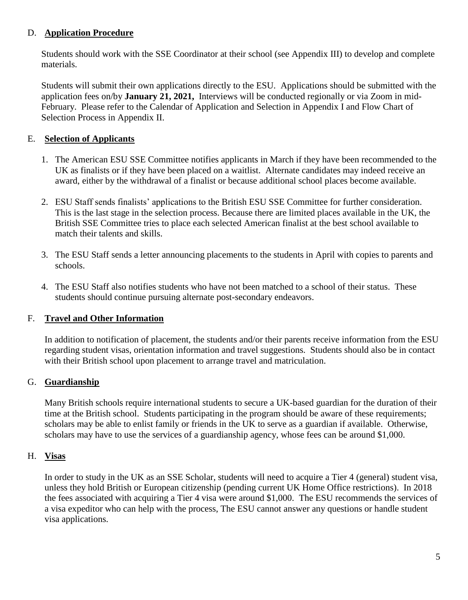### D. **Application Procedure**

Students should work with the SSE Coordinator at their school (see Appendix III) to develop and complete materials.

Students will submit their own applications directly to the ESU. Applications should be submitted with the application fees on/by **January 21, 2021,** Interviews will be conducted regionally or via Zoom in mid-February. Please refer to the Calendar of Application and Selection in Appendix I and Flow Chart of Selection Process in Appendix II.

## E. **Selection of Applicants**

- 1. The American ESU SSE Committee notifies applicants in March if they have been recommended to the UK as finalists or if they have been placed on a waitlist. Alternate candidates may indeed receive an award, either by the withdrawal of a finalist or because additional school places become available.
- 2. ESU Staff sends finalists' applications to the British ESU SSE Committee for further consideration. This is the last stage in the selection process. Because there are limited places available in the UK, the British SSE Committee tries to place each selected American finalist at the best school available to match their talents and skills.
- 3. The ESU Staff sends a letter announcing placements to the students in April with copies to parents and schools.
- 4. The ESU Staff also notifies students who have not been matched to a school of their status. These students should continue pursuing alternate post-secondary endeavors.

# F. **Travel and Other Information**

In addition to notification of placement, the students and/or their parents receive information from the ESU regarding student visas, orientation information and travel suggestions. Students should also be in contact with their British school upon placement to arrange travel and matriculation.

# G. **Guardianship**

Many British schools require international students to secure a UK-based guardian for the duration of their time at the British school. Students participating in the program should be aware of these requirements; scholars may be able to enlist family or friends in the UK to serve as a guardian if available. Otherwise, scholars may have to use the services of a guardianship agency, whose fees can be around \$1,000.

#### H. **Visas**

In order to study in the UK as an SSE Scholar, students will need to acquire a Tier 4 (general) student visa, unless they hold British or European citizenship (pending current UK Home Office restrictions). In 2018 the fees associated with acquiring a Tier 4 visa were around \$1,000. The ESU recommends the services of a visa expeditor who can help with the process, The ESU cannot answer any questions or handle student visa applications.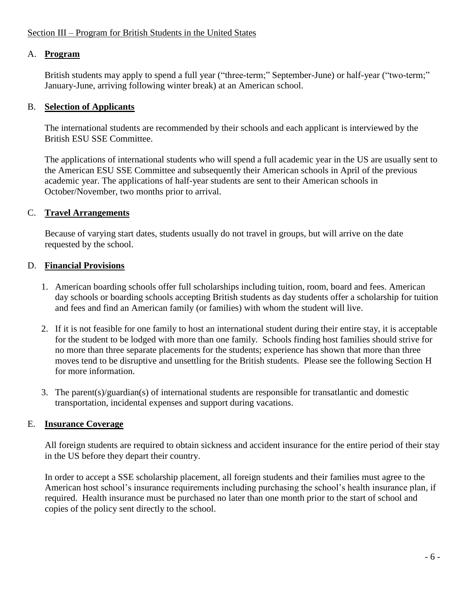# A. **Program**

British students may apply to spend a full year ("three-term;" September-June) or half-year ("two-term;" January-June, arriving following winter break) at an American school.

# B. **Selection of Applicants**

The international students are recommended by their schools and each applicant is interviewed by the British ESU SSE Committee.

The applications of international students who will spend a full academic year in the US are usually sent to the American ESU SSE Committee and subsequently their American schools in April of the previous academic year. The applications of half-year students are sent to their American schools in October/November, two months prior to arrival.

# C. **Travel Arrangements**

Because of varying start dates, students usually do not travel in groups, but will arrive on the date requested by the school.

# D. **Financial Provisions**

- 1. American boarding schools offer full scholarships including tuition, room, board and fees. American day schools or boarding schools accepting British students as day students offer a scholarship for tuition and fees and find an American family (or families) with whom the student will live.
- 2. If it is not feasible for one family to host an international student during their entire stay, it is acceptable for the student to be lodged with more than one family. Schools finding host families should strive for no more than three separate placements for the students; experience has shown that more than three moves tend to be disruptive and unsettling for the British students. Please see the following Section H for more information.
- 3. The parent(s)/guardian(s) of international students are responsible for transatlantic and domestic transportation, incidental expenses and support during vacations.

# E. **Insurance Coverage**

All foreign students are required to obtain sickness and accident insurance for the entire period of their stay in the US before they depart their country.

In order to accept a SSE scholarship placement, all foreign students and their families must agree to the American host school's insurance requirements including purchasing the school's health insurance plan, if required. Health insurance must be purchased no later than one month prior to the start of school and copies of the policy sent directly to the school.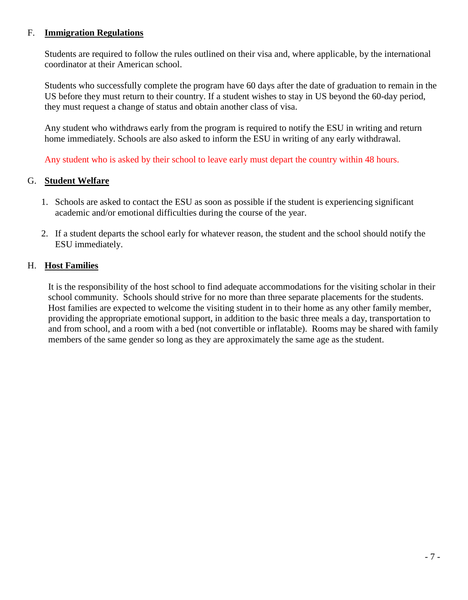#### F. **Immigration Regulations**

Students are required to follow the rules outlined on their visa and, where applicable, by the international coordinator at their American school.

Students who successfully complete the program have 60 days after the date of graduation to remain in the US before they must return to their country. If a student wishes to stay in US beyond the 60-day period, they must request a change of status and obtain another class of visa.

Any student who withdraws early from the program is required to notify the ESU in writing and return home immediately. Schools are also asked to inform the ESU in writing of any early withdrawal.

Any student who is asked by their school to leave early must depart the country within 48 hours.

# G. **Student Welfare**

- 1. Schools are asked to contact the ESU as soon as possible if the student is experiencing significant academic and/or emotional difficulties during the course of the year.
- 2. If a student departs the school early for whatever reason, the student and the school should notify the ESU immediately.

### H. **Host Families**

It is the responsibility of the host school to find adequate accommodations for the visiting scholar in their school community. Schools should strive for no more than three separate placements for the students. Host families are expected to welcome the visiting student in to their home as any other family member, providing the appropriate emotional support, in addition to the basic three meals a day, transportation to and from school, and a room with a bed (not convertible or inflatable). Rooms may be shared with family members of the same gender so long as they are approximately the same age as the student.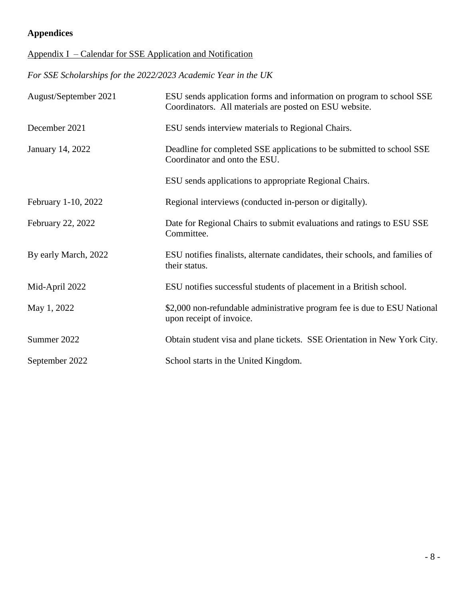# **Appendices**

# Appendix I – Calendar for SSE Application and Notification

*For SSE Scholarships for the 2022/2023 Academic Year in the UK*

| August/September 2021 | ESU sends application forms and information on program to school SSE<br>Coordinators. All materials are posted on ESU website. |
|-----------------------|--------------------------------------------------------------------------------------------------------------------------------|
| December 2021         | ESU sends interview materials to Regional Chairs.                                                                              |
| January 14, 2022      | Deadline for completed SSE applications to be submitted to school SSE<br>Coordinator and onto the ESU.                         |
|                       | ESU sends applications to appropriate Regional Chairs.                                                                         |
| February 1-10, 2022   | Regional interviews (conducted in-person or digitally).                                                                        |
| February 22, 2022     | Date for Regional Chairs to submit evaluations and ratings to ESU SSE<br>Committee.                                            |
| By early March, 2022  | ESU notifies finalists, alternate candidates, their schools, and families of<br>their status.                                  |
| Mid-April 2022        | ESU notifies successful students of placement in a British school.                                                             |
| May 1, 2022           | \$2,000 non-refundable administrative program fee is due to ESU National<br>upon receipt of invoice.                           |
| Summer 2022           | Obtain student visa and plane tickets. SSE Orientation in New York City.                                                       |
| September 2022        | School starts in the United Kingdom.                                                                                           |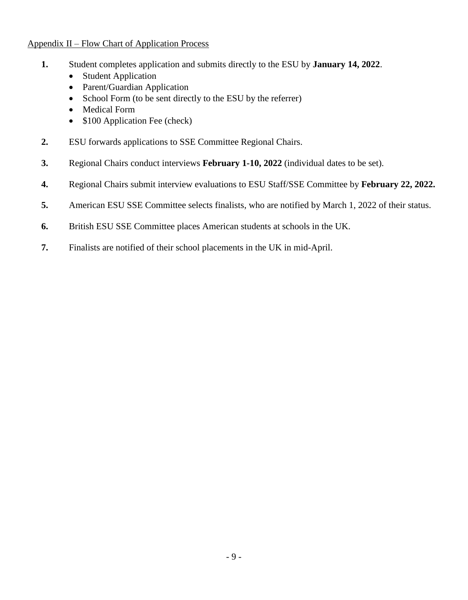#### Appendix II – Flow Chart of Application Process

- **1.** Student completes application and submits directly to the ESU by **January 14, 2022**.
	- Student Application
	- Parent/Guardian Application
	- School Form (to be sent directly to the ESU by the referrer)
	- Medical Form
	- \$100 Application Fee (check)
- **2.** ESU forwards applications to SSE Committee Regional Chairs.
- **3.** Regional Chairs conduct interviews **February 1-10, 2022** (individual dates to be set).
- **4.** Regional Chairs submit interview evaluations to ESU Staff/SSE Committee by **February 22, 2022.**
- **5.** American ESU SSE Committee selects finalists, who are notified by March 1, 2022 of their status.
- **6.** British ESU SSE Committee places American students at schools in the UK.
- **7.** Finalists are notified of their school placements in the UK in mid-April.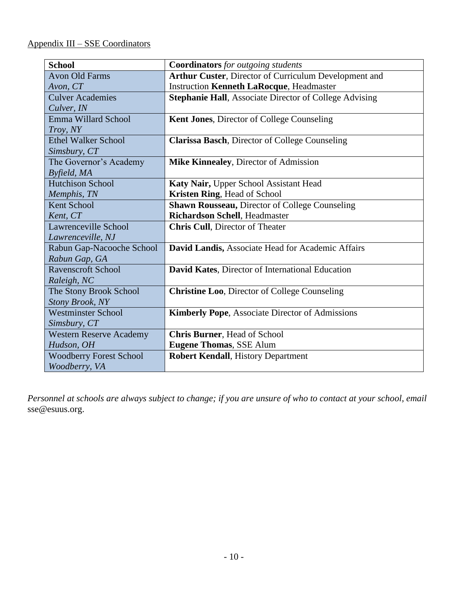## Appendix III – SSE Coordinators

| <b>School</b>                  | <b>Coordinators</b> for outgoing students                     |
|--------------------------------|---------------------------------------------------------------|
| <b>Avon Old Farms</b>          | Arthur Custer, Director of Curriculum Development and         |
| Avon, CT                       | <b>Instruction Kenneth LaRocque, Headmaster</b>               |
| <b>Culver Academies</b>        | <b>Stephanie Hall, Associate Director of College Advising</b> |
| Culver, IN                     |                                                               |
| Emma Willard School            | <b>Kent Jones, Director of College Counseling</b>             |
| Troy, NY                       |                                                               |
| <b>Ethel Walker School</b>     | Clarissa Basch, Director of College Counseling                |
| Simsbury, CT                   |                                                               |
| The Governor's Academy         | Mike Kinnealey, Director of Admission                         |
| Byfield, MA                    |                                                               |
| <b>Hutchison School</b>        | Katy Nair, Upper School Assistant Head                        |
| Memphis, TN                    | <b>Kristen Ring, Head of School</b>                           |
| <b>Kent School</b>             | <b>Shawn Rousseau, Director of College Counseling</b>         |
| Kent, CT                       | <b>Richardson Schell</b> , Headmaster                         |
| Lawrenceville School           | <b>Chris Cull</b> , Director of Theater                       |
| Lawrenceville, NJ              |                                                               |
| Rabun Gap-Nacooche School      | David Landis, Associate Head for Academic Affairs             |
| Rabun Gap, GA                  |                                                               |
| <b>Ravenscroft School</b>      | David Kates, Director of International Education              |
| Raleigh, NC                    |                                                               |
| The Stony Brook School         | <b>Christine Loo</b> , Director of College Counseling         |
| <b>Stony Brook, NY</b>         |                                                               |
| <b>Westminster School</b>      | <b>Kimberly Pope, Associate Director of Admissions</b>        |
| Simsbury, CT                   |                                                               |
| <b>Western Reserve Academy</b> | <b>Chris Burner</b> , Head of School                          |
| Hudson, OH                     | <b>Eugene Thomas, SSE Alum</b>                                |
| <b>Woodberry Forest School</b> | <b>Robert Kendall</b> , History Department                    |
| Woodberry, VA                  |                                                               |

*Personnel at schools are always subject to change; if you are unsure of who to contact at your school, email*  sse@esuus.org.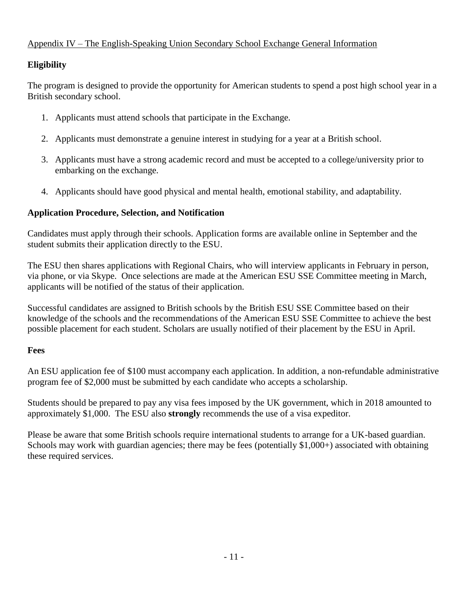# Appendix IV – The English-Speaking Union Secondary School Exchange General Information

## **Eligibility**

The program is designed to provide the opportunity for American students to spend a post high school year in a British secondary school.

- 1. Applicants must attend schools that participate in the Exchange.
- 2. Applicants must demonstrate a genuine interest in studying for a year at a British school.
- 3. Applicants must have a strong academic record and must be accepted to a college/university prior to embarking on the exchange.
- 4. Applicants should have good physical and mental health, emotional stability, and adaptability.

#### **Application Procedure, Selection, and Notification**

Candidates must apply through their schools. Application forms are available online in September and the student submits their application directly to the ESU.

The ESU then shares applications with Regional Chairs, who will interview applicants in February in person, via phone, or via Skype. Once selections are made at the American ESU SSE Committee meeting in March, applicants will be notified of the status of their application.

Successful candidates are assigned to British schools by the British ESU SSE Committee based on their knowledge of the schools and the recommendations of the American ESU SSE Committee to achieve the best possible placement for each student. Scholars are usually notified of their placement by the ESU in April.

#### **Fees**

An ESU application fee of \$100 must accompany each application. In addition, a non-refundable administrative program fee of \$2,000 must be submitted by each candidate who accepts a scholarship.

Students should be prepared to pay any visa fees imposed by the UK government, which in 2018 amounted to approximately \$1,000. The ESU also **strongly** recommends the use of a visa expeditor.

Please be aware that some British schools require international students to arrange for a UK-based guardian. Schools may work with guardian agencies; there may be fees (potentially \$1,000+) associated with obtaining these required services.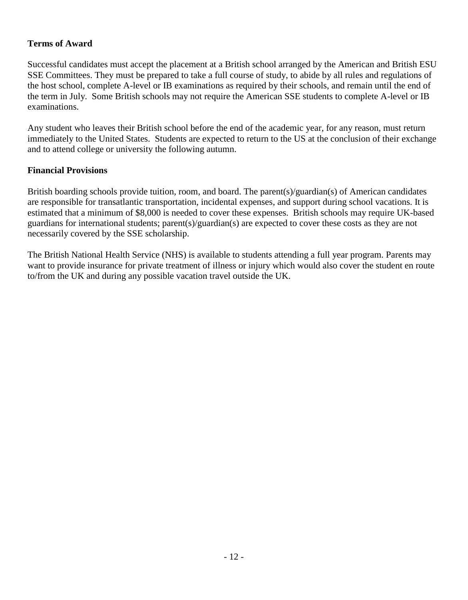## **Terms of Award**

Successful candidates must accept the placement at a British school arranged by the American and British ESU SSE Committees. They must be prepared to take a full course of study, to abide by all rules and regulations of the host school, complete A-level or IB examinations as required by their schools, and remain until the end of the term in July. Some British schools may not require the American SSE students to complete A-level or IB examinations.

Any student who leaves their British school before the end of the academic year, for any reason, must return immediately to the United States. Students are expected to return to the US at the conclusion of their exchange and to attend college or university the following autumn.

#### **Financial Provisions**

British boarding schools provide tuition, room, and board. The parent(s)/guardian(s) of American candidates are responsible for transatlantic transportation, incidental expenses, and support during school vacations. It is estimated that a minimum of \$8,000 is needed to cover these expenses. British schools may require UK-based guardians for international students; parent(s)/guardian(s) are expected to cover these costs as they are not necessarily covered by the SSE scholarship.

The British National Health Service (NHS) is available to students attending a full year program. Parents may want to provide insurance for private treatment of illness or injury which would also cover the student en route to/from the UK and during any possible vacation travel outside the UK.